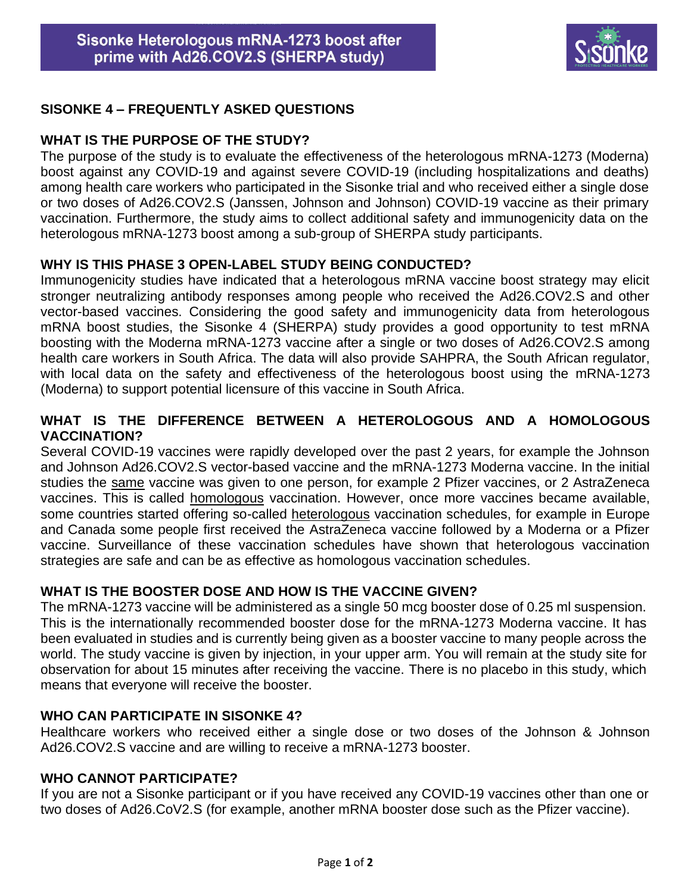

# **SISONKE 4 – FREQUENTLY ASKED QUESTIONS**

#### **WHAT IS THE PURPOSE OF THE STUDY?**

The purpose of the study is to evaluate the effectiveness of the heterologous mRNA-1273 (Moderna) boost against any COVID-19 and against severe COVID-19 (including hospitalizations and deaths) among health care workers who participated in the Sisonke trial and who received either a single dose or two doses of Ad26.COV2.S (Janssen, Johnson and Johnson) COVID-19 vaccine as their primary vaccination. Furthermore, the study aims to collect additional safety and immunogenicity data on the heterologous mRNA-1273 boost among a sub-group of SHERPA study participants.

## **WHY IS THIS PHASE 3 OPEN-LABEL STUDY BEING CONDUCTED?**

Immunogenicity studies have indicated that a heterologous mRNA vaccine boost strategy may elicit stronger neutralizing antibody responses among people who received the Ad26.COV2.S and other vector-based vaccines. Considering the good safety and immunogenicity data from heterologous mRNA boost studies, the Sisonke 4 (SHERPA) study provides a good opportunity to test mRNA boosting with the Moderna mRNA-1273 vaccine after a single or two doses of Ad26.COV2.S among health care workers in South Africa. The data will also provide SAHPRA, the South African regulator, with local data on the safety and effectiveness of the heterologous boost using the mRNA-1273 (Moderna) to support potential licensure of this vaccine in South Africa.

## **WHAT IS THE DIFFERENCE BETWEEN A HETEROLOGOUS AND A HOMOLOGOUS VACCINATION?**

Several COVID-19 vaccines were rapidly developed over the past 2 years, for example the Johnson and Johnson Ad26.COV2.S vector-based vaccine and the mRNA-1273 Moderna vaccine. In the initial studies the same vaccine was given to one person, for example 2 Pfizer vaccines, or 2 AstraZeneca vaccines. This is called homologous vaccination. However, once more vaccines became available, some countries started offering so-called heterologous vaccination schedules, for example in Europe and Canada some people first received the AstraZeneca vaccine followed by a Moderna or a Pfizer vaccine. Surveillance of these vaccination schedules have shown that heterologous vaccination strategies are safe and can be as effective as homologous vaccination schedules.

## **WHAT IS THE BOOSTER DOSE AND HOW IS THE VACCINE GIVEN?**

The mRNA-1273 vaccine will be administered as a single 50 mcg booster dose of 0.25 ml suspension. This is the internationally recommended booster dose for the mRNA-1273 Moderna vaccine. It has been evaluated in studies and is currently being given as a booster vaccine to many people across the world. The study vaccine is given by injection, in your upper arm. You will remain at the study site for observation for about 15 minutes after receiving the vaccine. There is no placebo in this study, which means that everyone will receive the booster.

## **WHO CAN PARTICIPATE IN SISONKE 4?**

Healthcare workers who received either a single dose or two doses of the Johnson & Johnson Ad26.COV2.S vaccine and are willing to receive a mRNA-1273 booster.

#### **WHO CANNOT PARTICIPATE?**

If you are not a Sisonke participant or if you have received any COVID-19 vaccines other than one or two doses of Ad26.CoV2.S (for example, another mRNA booster dose such as the Pfizer vaccine).